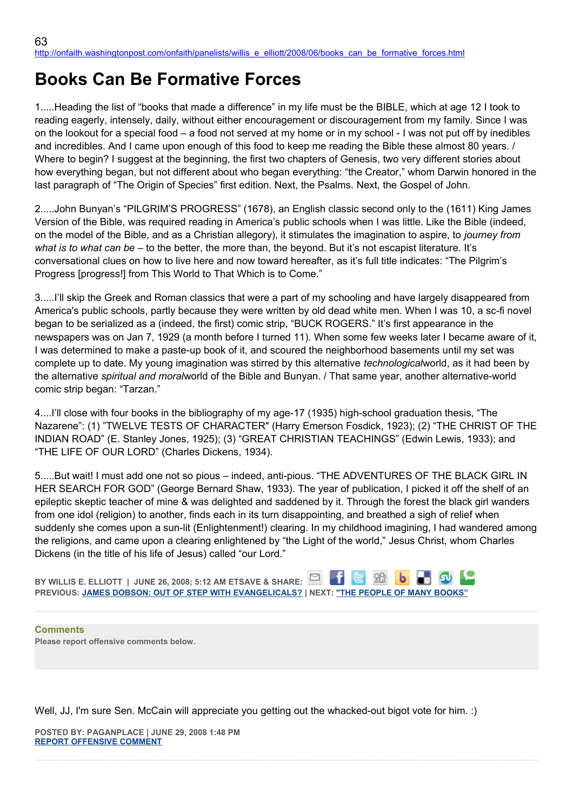## **Books Can Be Formative Forces**

1.....Heading the list of "books that made a difference" in my life must be the BIBLE, which at age 12 I took to reading eagerly, intensely, daily, without either encouragement or discouragement from my family. Since I was on the lookout for a special food – a food not served at my home or in my school - I was not put off by inedibles and incredibles. And I came upon enough of this food to keep me reading the Bible these almost 80 years. / Where to begin? I suggest at the beginning, the first two chapters of Genesis, two very different stories about how everything began, but not different about who began everything: "the Creator," whom Darwin honored in the last paragraph of "The Origin of Species" first edition. Next, the Psalms. Next, the Gospel of John.

2.....John Bunyan's "PILGRIM'S PROGRESS" (1678), an English classic second only to the (1611) King James Version of the Bible, was required reading in America's public schools when I was little. Like the Bible (indeed, on the model of the Bible, and as a Christian allegory), it stimulates the imagination to aspire, to *journey from what is to what can be* – to the better, the more than, the beyond. But it's not escapist literature. It's conversational clues on how to live here and now toward hereafter, as it's full title indicates: "The Pilgrim's Progress [progress!] from This World to That Which is to Come."

3.....I'll skip the Greek and Roman classics that were a part of my schooling and have largely disappeared from America's public schools, partly because they were written by old dead white men. When I was 10, a sc-fi novel began to be serialized as a (indeed, the first) comic strip, "BUCK ROGERS." It's first appearance in the newspapers was on Jan 7, 1929 (a month before I turned 11). When some few weeks later I became aware of it, I was determined to make a paste-up book of it, and scoured the neighborhood basements until my set was complete up to date. My young imagination was stirred by this alternative *technological*world, as it had been by the alternative *spiritual and moral*world of the Bible and Bunyan. / That same year, another alternative-world comic strip began: "Tarzan."

4....I'll close with four books in the bibliography of my age-17 (1935) high-school graduation thesis, "The Nazarene": (1) "TWELVE TESTS OF CHARACTER" (Harry Emerson Fosdick, 1923); (2) "THE CHRIST OF THE INDIAN ROAD" (E. Stanley Jones, 1925); (3) "GREAT CHRISTIAN TEACHINGS" (Edwin Lewis, 1933); and "THE LIFE OF OUR LORD" (Charles Dickens, 1934).

5.....But wait! I must add one not so pious – indeed, anti-pious. "THE ADVENTURES OF THE BLACK GIRL IN HER SEARCH FOR GOD" (George Bernard Shaw, 1933). The year of publication, I picked it off the shelf of an epileptic skeptic teacher of mine & was delighted and saddened by it. Through the forest the black girl wanders from one idol (religion) to another, finds each in its turn disappointing, and breathed a sigh of relief when suddenly she comes upon a sun-lit (Enlightenment!) clearing. In my childhood imagining, I had wandered among the religions, and came upon a clearing enlightened by "the Light of the world," Jesus Christ, whom Charles Dickens (in the title of his life of Jesus) called "our Lord."

**BY WILLIS E. ELLIOTT | JUNE 26, 2008; 5:12 AM ETSAVE & SHARE: PREVIOUS: [JAMES DOBSON: OUT OF STEP WITH EVANGELICALS?](http://onfaith.washingtonpost.com/onfaith/panelists/susan_brooks_thistlethwaite/2008/06/james_dobson_out_of_step_with.html) | NEXT: ["THE PEOPLE OF MANY BOOKS"](http://onfaith.washingtonpost.com/onfaith/panelists/adin_steinsaltz/2008/06/the_people_of_many_books.html)**

**Comments Please report offensive comments below.**

Well, JJ, I'm sure Sen. McCain will appreciate you getting out the whacked-out bigot vote for him. :)

**POSTED BY: PAGANPLACE | JUNE 29, 2008 1:48 PM [REPORT OFFENSIVE COMMENT](mailto:blogs@washingtonpost.com?subject=On%20Faith%20Panelists%20Blog%20%20%7C%20%20Paganplace%20%20%7C%20%20Books%20Can%20Be%20Formative%20Forces%20%20%7C%20%204012275&body=%0D%0D%0D%0D%0D================%0D?__mode=view%26_type=comment%26id=4012275%26blog_id=618)**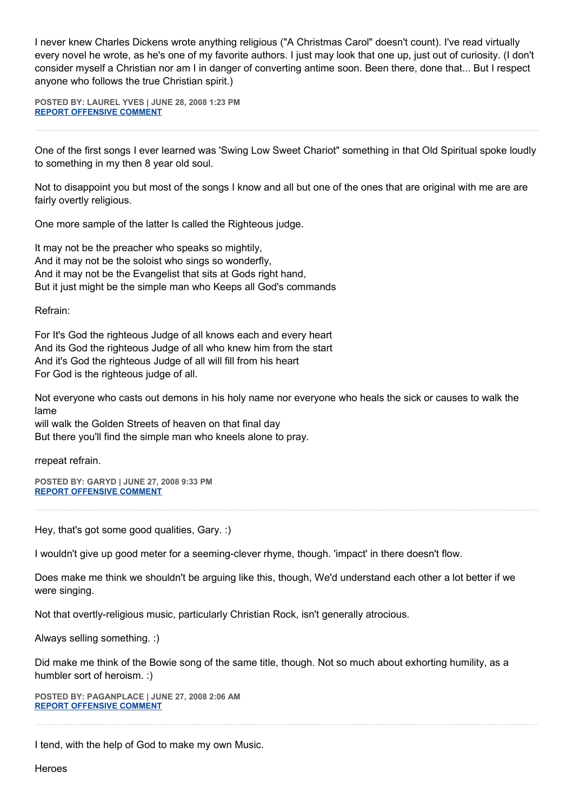I never knew Charles Dickens wrote anything religious ("A Christmas Carol" doesn't count). I've read virtually every novel he wrote, as he's one of my favorite authors. I just may look that one up, just out of curiosity. (I don't consider myself a Christian nor am I in danger of converting antime soon. Been there, done that... But I respect anyone who follows the true Christian spirit.)

**POSTED BY: LAUREL YVES | JUNE 28, 2008 1:23 PM [REPORT OFFENSIVE COMMENT](mailto:blogs@washingtonpost.com?subject=On%20Faith%20Panelists%20Blog%20%20%7C%20%20Laurel%20Yves%20%20%7C%20%20Books%20Can%20Be%20Formative%20Forces%20%20%7C%20%203999255&body=%0D%0D%0D%0D%0D================%0D?__mode=view%26_type=comment%26id=3999255%26blog_id=618)**

One of the first songs I ever learned was 'Swing Low Sweet Chariot" something in that Old Spiritual spoke loudly to something in my then 8 year old soul.

Not to disappoint you but most of the songs I know and all but one of the ones that are original with me are are fairly overtly religious.

One more sample of the latter Is called the Righteous judge.

It may not be the preacher who speaks so mightily, And it may not be the soloist who sings so wonderfly, And it may not be the Evangelist that sits at Gods right hand, But it just might be the simple man who Keeps all God's commands

Refrain:

For It's God the righteous Judge of all knows each and every heart And its God the righteous Judge of all who knew him from the start And it's God the righteous Judge of all will fill from his heart For God is the righteous judge of all.

Not everyone who casts out demons in his holy name nor everyone who heals the sick or causes to walk the lame

will walk the Golden Streets of heaven on that final day But there you'll find the simple man who kneels alone to pray.

rrepeat refrain.

**POSTED BY: GARYD | JUNE 27, 2008 9:33 PM [REPORT OFFENSIVE COMMENT](mailto:blogs@washingtonpost.com?subject=On%20Faith%20Panelists%20Blog%20%20%7C%20%20Garyd%20%20%7C%20%20Books%20Can%20Be%20Formative%20Forces%20%20%7C%20%203990861&body=%0D%0D%0D%0D%0D================%0D?__mode=view%26_type=comment%26id=3990861%26blog_id=618)**

Hey, that's got some good qualities, Gary. :)

I wouldn't give up good meter for a seeming-clever rhyme, though. 'impact' in there doesn't flow.

Does make me think we shouldn't be arguing like this, though, We'd understand each other a lot better if we were singing.

Not that overtly-religious music, particularly Christian Rock, isn't generally atrocious.

Always selling something. :)

Did make me think of the Bowie song of the same title, though. Not so much about exhorting humility, as a humbler sort of heroism. :)

**POSTED BY: PAGANPLACE | JUNE 27, 2008 2:06 AM [REPORT OFFENSIVE COMMENT](mailto:blogs@washingtonpost.com?subject=On%20Faith%20Panelists%20Blog%20%20%7C%20%20Paganplace%20%20%7C%20%20Books%20Can%20Be%20Formative%20Forces%20%20%7C%20%203981065&body=%0D%0D%0D%0D%0D================%0D?__mode=view%26_type=comment%26id=3981065%26blog_id=618)**

I tend, with the help of God to make my own Music.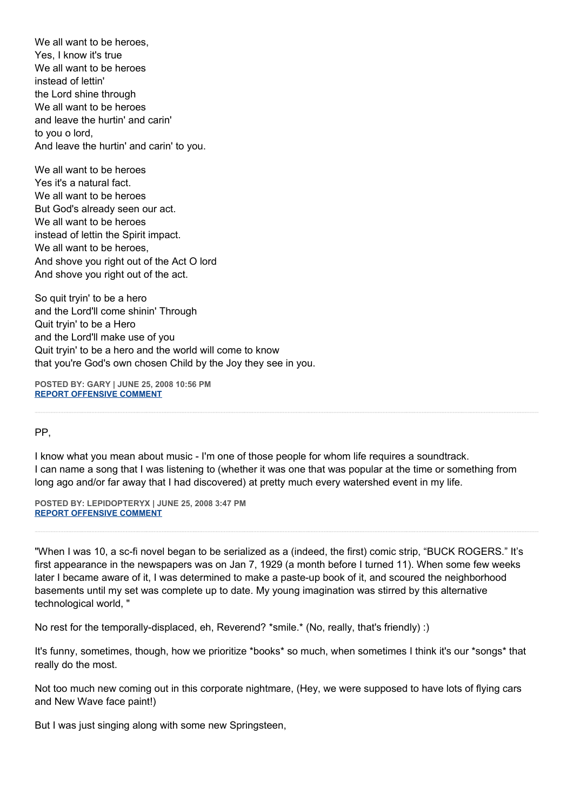We all want to be heroes. Yes, I know it's true We all want to be heroes instead of lettin' the Lord shine through We all want to be heroes and leave the hurtin' and carin' to you o lord, And leave the hurtin' and carin' to you.

We all want to be heroes Yes it's a natural fact. We all want to be heroes But God's already seen our act. We all want to be heroes instead of lettin the Spirit impact. We all want to be heroes, And shove you right out of the Act O lord And shove you right out of the act.

So quit tryin' to be a hero and the Lord'll come shinin' Through Quit tryin' to be a Hero and the Lord'll make use of you Quit tryin' to be a hero and the world will come to know that you're God's own chosen Child by the Joy they see in you.

**POSTED BY: GARY | JUNE 25, 2008 10:56 PM [REPORT OFFENSIVE COMMENT](mailto:blogs@washingtonpost.com?subject=On%20Faith%20Panelists%20Blog%20%20%7C%20%20Gary%20%20%7C%20%20Books%20Can%20Be%20Formative%20Forces%20%20%7C%20%203967334&body=%0D%0D%0D%0D%0D================%0D?__mode=view%26_type=comment%26id=3967334%26blog_id=618)**

PP,

I know what you mean about music - I'm one of those people for whom life requires a soundtrack. I can name a song that I was listening to (whether it was one that was popular at the time or something from long ago and/or far away that I had discovered) at pretty much every watershed event in my life.

**POSTED BY: LEPIDOPTERYX | JUNE 25, 2008 3:47 PM [REPORT OFFENSIVE COMMENT](mailto:blogs@washingtonpost.com?subject=On%20Faith%20Panelists%20Blog%20%20%7C%20%20lepidopteryx%20%20%7C%20%20Books%20Can%20Be%20Formative%20Forces%20%20%7C%20%203963330&body=%0D%0D%0D%0D%0D================%0D?__mode=view%26_type=comment%26id=3963330%26blog_id=618)**

"When I was 10, a sc-fi novel began to be serialized as a (indeed, the first) comic strip, "BUCK ROGERS." It's first appearance in the newspapers was on Jan 7, 1929 (a month before I turned 11). When some few weeks later I became aware of it, I was determined to make a paste-up book of it, and scoured the neighborhood basements until my set was complete up to date. My young imagination was stirred by this alternative technological world, "

No rest for the temporally-displaced, eh, Reverend? \*smile.\* (No, really, that's friendly) :)

It's funny, sometimes, though, how we prioritize \*books\* so much, when sometimes I think it's our \*songs\* that really do the most.

Not too much new coming out in this corporate nightmare, (Hey, we were supposed to have lots of flying cars and New Wave face paint!)

But I was just singing along with some new Springsteen,